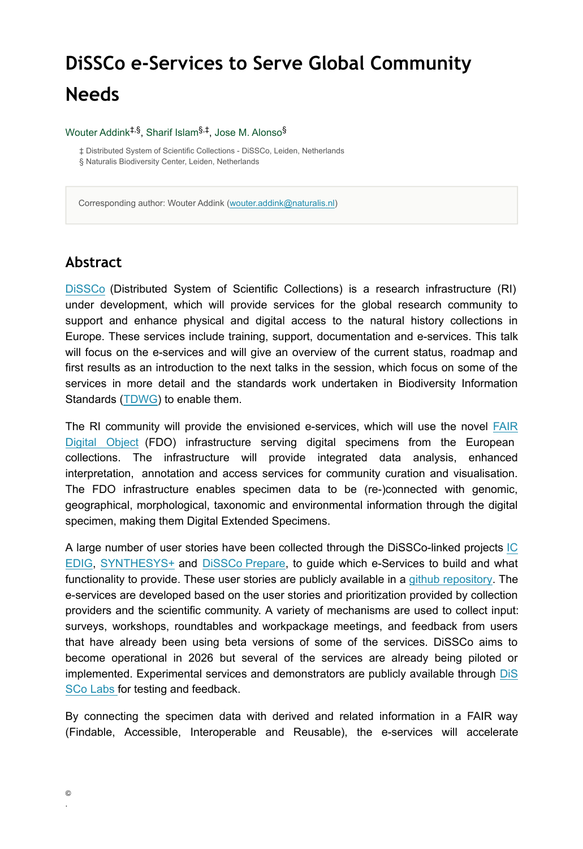# **DiSSCo e-Services to Serve Global Community Needs**

#### Wouter Addink<sup>‡,§</sup>, Sharif Islam<sup>§,‡</sup>, Jose M. Alonso<sup>§</sup>

‡ Distributed System of Scientific Collections - DiSSCo, Leiden, Netherlands § Naturalis Biodiversity Center, Leiden, Netherlands

Corresponding author: Wouter Addink [\(wouter.addink@naturalis.nl](mailto:wouter.addink@naturalis.nl))

#### **Abstract**

[DiSSCo](https://dissco.eu/) (Distributed System of Scientific Collections) is a research infrastructure (RI) under development, which will provide services for the global research community to support and enhance physical and digital access to the natural history collections in Europe. These services include training, support, documentation and e-services. This talk will focus on the e-services and will give an overview of the current status, roadmap and first results as an introduction to the next talks in the session, which focus on some of the services in more detail and the standards work undertaken in Biodiversity Information Standards ([TDWG](https://tdwg.org/)) to enable them.

The RI community will provide the envisioned e-services, which will use the novel [FAIR](https://fairdo.org) [Digital Object](https://fairdo.org) (FDO) infrastructure serving digital specimens from the European collections. The infrastructure will provide integrated data analysis, enhanced interpretation, annotation and access services for community curation and visualisation. The FDO infrastructure enables specimen data to be (re-)connected with genomic, geographical, morphological, taxonomic and environmental information through the digital specimen, making them Digital Extended Specimens.

A large number of user stories have been collected through the DiSSCo-linked projects [IC](https://icedig.eu) [EDIG](https://icedig.eu), [SYNTHESYS+](https://synthesys.info) and [DiSSCo](https://www.dissco.eu/dissco-prepare/) Prepare, to guide which e-Services to build and what functionality to provide. These user stories are publicly available in [a github repository.](https://github.com/DiSSCo/user-stories/issues) The e-services are developed based on the user stories and prioritization provided by collection providers and the scientific community. A variety of mechanisms are used to collect input: surveys, workshops, roundtables and workpackage meetings, and feedback from users that have already been using beta versions of some of the services. DiSSCo aims to become operational in 2026 but several of the services are already being piloted or implemented. Experimental services and demonstrators are publicly available through [DiS](https://dissco.tech/labs/) [SCo Labs](https://dissco.tech/labs/) for testing and feedback.

By connecting the specimen data with derived and related information in a FAIR way (Findable, Accessible, Interoperable and Reusable), the e-services will accelerate